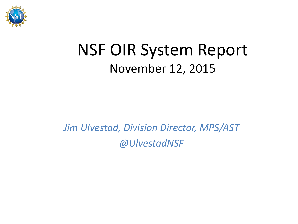

#### NSF OIR System Report November 12, 2015

#### *Jim Ulvestad, Division Director, MPS/AST @UlvestadNSF*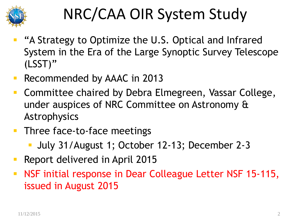

# NRC/CAA OIR System Study

- "A Strategy to Optimize the U.S. Optical and Infrared System in the Era of the Large Synoptic Survey Telescope (LSST)"
- Recommended by AAAC in 2013
- **Committee chaired by Debra Elmegreen, Vassar College,** under auspices of NRC Committee on Astronomy & Astrophysics
- **Three face-to-face meetings** 
	- July 31/August 1; October 12-13; December 2-3
- Report delivered in April 2015
- **NSF initial response in Dear Colleague Letter NSF 15-115,** issued in August 2015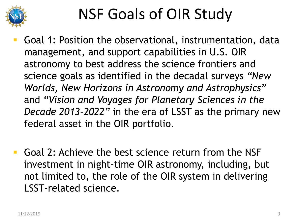

# NSF Goals of OIR Study

- Goal 1: Position the observational, instrumentation, data management, and support capabilities in U.S. OIR astronomy to best address the science frontiers and science goals as identified in the decadal surveys *"New Worlds, New Horizons in Astronomy and Astrophysics"* and *"Vision and Voyages for Planetary Sciences in the Decade 2013-2022"* in the era of LSST as the primary new federal asset in the OIR portfolio.
- Goal 2: Achieve the best science return from the NSF investment in night-time OIR astronomy, including, but not limited to, the role of the OIR system in delivering LSST-related science.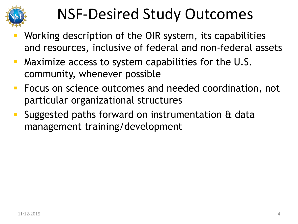

#### NSF-Desired Study Outcomes

- Working description of the OIR system, its capabilities and resources, inclusive of federal and non-federal assets
- **Maximize access to system capabilities for the U.S.** community, whenever possible
- **Focus on science outcomes and needed coordination, not** particular organizational structures
- Suggested paths forward on instrumentation & data management training/development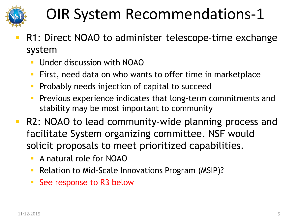

- R1: Direct NOAO to administer telescope-time exchange system
	- Under discussion with NOAO
	- **First, need data on who wants to offer time in marketplace**
	- **Probably needs injection of capital to succeed**
	- **Previous experience indicates that long-term commitments and** stability may be most important to community
- **R2: NOAO to lead community-wide planning process and** facilitate System organizing committee. NSF would solicit proposals to meet prioritized capabilities.
	- **A natural role for NOAO**
	- Relation to Mid-Scale Innovations Program (MSIP)?
	- See response to R3 below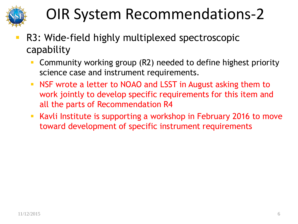

- R3: Wide-field highly multiplexed spectroscopic capability
	- Community working group (R2) needed to define highest priority science case and instrument requirements.
	- NSF wrote a letter to NOAO and LSST in August asking them to work jointly to develop specific requirements for this item and all the parts of Recommendation R4
	- Kavli Institute is supporting a workshop in February 2016 to move toward development of specific instrument requirements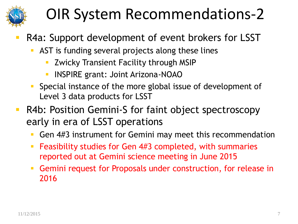

- R4a: Support development of event brokers for LSST
	- AST is funding several projects along these lines
		- **EXECTS 2 THEORY TRANSIER THEORY CONCOCO EXAMPLE THEORY CONCOCO FILM**
		- **INSPIRE grant: Joint Arizona-NOAO**
	- Special instance of the more global issue of development of Level 3 data products for LSST
- **R4b: Position Gemini-S for faint object spectroscopy** early in era of LSST operations
	- Gen 4#3 instrument for Gemini may meet this recommendation
	- **Feasibility studies for Gen 4#3 completed, with summaries** reported out at Gemini science meeting in June 2015
	- Gemini request for Proposals under construction, for release in 2016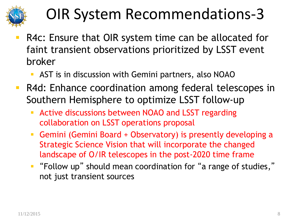

- R4c: Ensure that OIR system time can be allocated for faint transient observations prioritized by LSST event broker
	- AST is in discussion with Gemini partners, also NOAO
- **R4d: Enhance coordination among federal telescopes in** Southern Hemisphere to optimize LSST follow-up
	- **Active discussions between NOAO and LSST regarding** collaboration on LSST operations proposal
	- Gemini (Gemini Board + Observatory) is presently developing a Strategic Science Vision that will incorporate the changed landscape of O/IR telescopes in the post-2020 time frame
	- "Follow up" should mean coordination for "a range of studies," not just transient sources